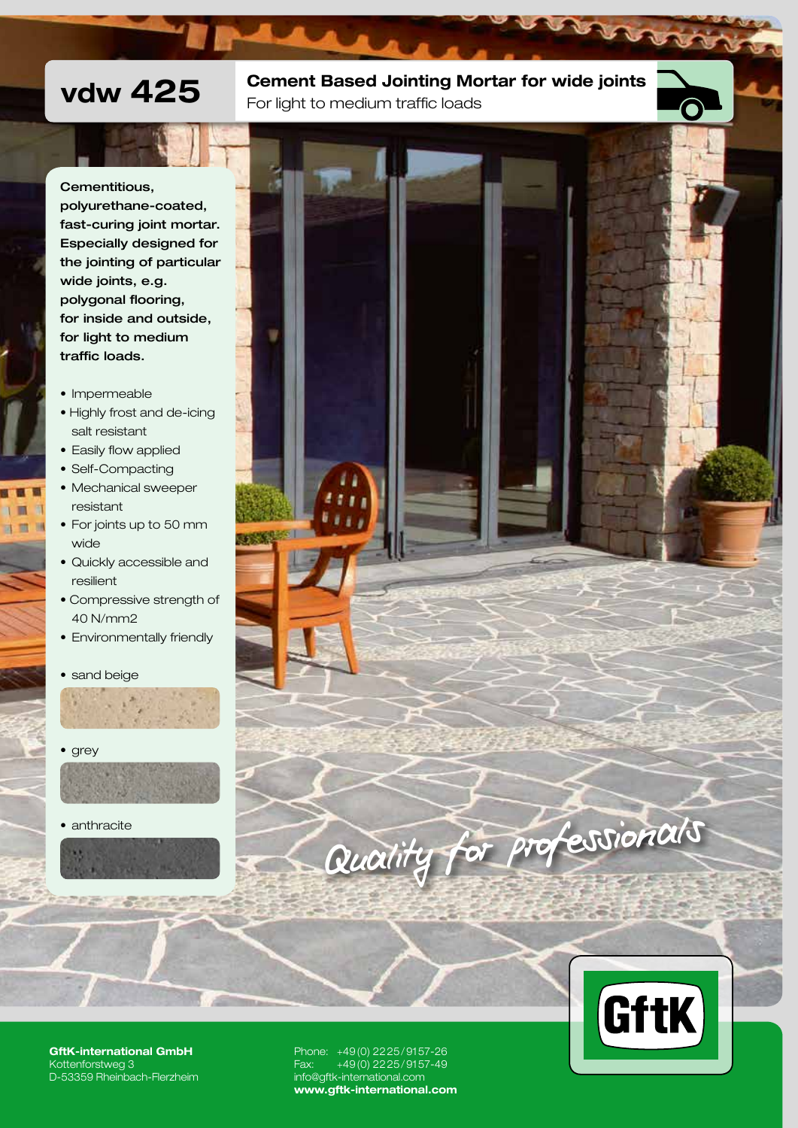# vdw 425 Cement Based Jointing Mortar for wide joints For light to medium traffic loads

Cementitious,

polyurethane-coated, fast-curing joint mortar. Especially designed for the jointing of particular wide joints, e.g. polygonal flooring, for inside and outside, for light to medium traffic loads.

- Impermeable
- Highly frost and de-icing salt resistant
- Easily flow applied
- Self-Compacting

п **加** 16

- Mechanical sweeper resistant
- For joints up to 50 mm wide
- Quickly accessible and resilient
- Compressive strength of 40 N/mm2
- Environmentally friendly

• sand beige



• grey



• anthracite







GftK-international GmbH Kottenforstweg 3 D-53359 Rheinbach-Flerzheim Phone: +49(0) 2225/9157-26 Fax: +49(0) 2225/9157-49 info@gftk-international.com www.gftk-international.com